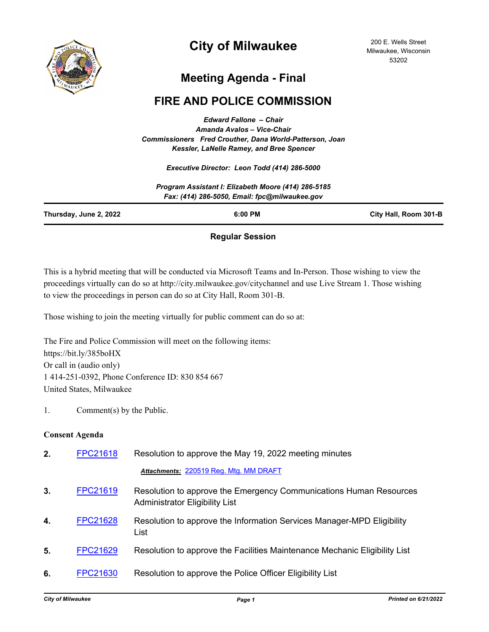

# **City of Milwaukee**

200 E. Wells Street Milwaukee, Wisconsin 53202

## **Meeting Agenda - Final**

## **FIRE AND POLICE COMMISSION**

*Edward Fallone – Chair Amanda Avalos – Vice-Chair Commissioners Fred Crouther, Dana World-Patterson, Joan Kessler, LaNelle Ramey, and Bree Spencer*

*Executive Director: Leon Todd (414) 286-5000*

|                        | Program Assistant I: Elizabeth Moore (414) 286-5185<br>Fax: (414) 286-5050, Email: fpc@milwaukee.gov |                       |
|------------------------|------------------------------------------------------------------------------------------------------|-----------------------|
| Thursday, June 2, 2022 | 6:00 PM                                                                                              | City Hall, Room 301-B |
|                        |                                                                                                      |                       |

## **Regular Session**

This is a hybrid meeting that will be conducted via Microsoft Teams and In-Person. Those wishing to view the proceedings virtually can do so at http://city.milwaukee.gov/citychannel and use Live Stream 1. Those wishing to view the proceedings in person can do so at City Hall, Room 301-B.

Those wishing to join the meeting virtually for public comment can do so at:

The Fire and Police Commission will meet on the following items: https://bit.ly/385boHX Or call in (audio only) 1 414-251-0392, Phone Conference ID: 830 854 667 United States, Milwaukee

1. Comment(s) by the Public.

## **Consent Agenda**

| 2. | <b>FPC21618</b> | Resolution to approve the May 19, 2022 meeting minutes                                                      |
|----|-----------------|-------------------------------------------------------------------------------------------------------------|
|    |                 | Attachments: 220519 Reg. Mtg. MM DRAFT                                                                      |
| 3. | <b>FPC21619</b> | Resolution to approve the Emergency Communications Human Resources<br><b>Administrator Eligibility List</b> |
| 4. | <b>FPC21628</b> | Resolution to approve the Information Services Manager-MPD Eligibility<br>List                              |
| 5. | <b>FPC21629</b> | Resolution to approve the Facilities Maintenance Mechanic Eligibility List                                  |
| 6. | <b>FPC21630</b> | Resolution to approve the Police Officer Eligibility List                                                   |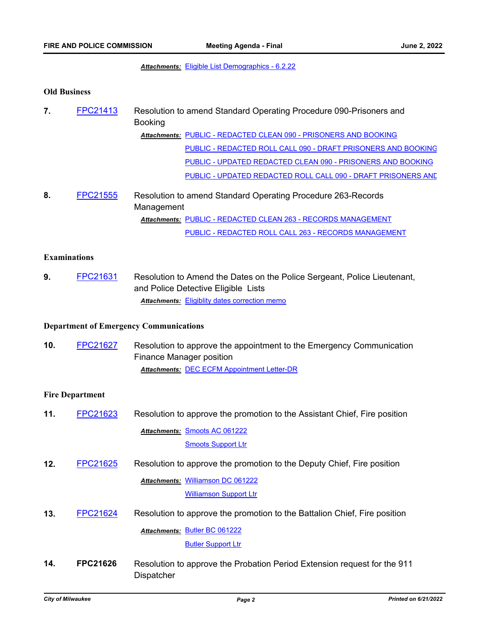## *Attachments:* [Eligible List Demographics - 6.2.22](http://Milwaukee.legistar.com/gateway.aspx?M=F&ID=e9413c70-364c-450a-917f-66ed61294128.pdf)

#### **Old Business**

| 7. | FPC21413 | Resolution to amend Standard Operating Procedure 090-Prisoners and<br><b>Booking</b> |  |
|----|----------|--------------------------------------------------------------------------------------|--|
|    |          | Attachments: PUBLIC - REDACTED CLEAN 090 - PRISONERS AND BOOKING                     |  |
|    |          | PUBLIC - REDACTED ROLL CALL 090 - DRAFT PRISONERS AND BOOKING                        |  |
|    |          | PUBLIC - UPDATED REDACTED CLEAN 090 - PRISONERS AND BOOKING                          |  |
|    |          | PUBLIC - UPDATED REDACTED ROLL CALL 090 - DRAFT PRISONERS AND                        |  |
|    |          |                                                                                      |  |

**8.** [FPC21555](http://milwaukee.legistar.com/gateway.aspx?m=l&id=/matter.aspx?key=61966) Resolution to amend Standard Operating Procedure 263-Records Management [PUBLIC - REDACTED CLEAN 263 - RECORDS MANAGEMENT](http://Milwaukee.legistar.com/gateway.aspx?M=F&ID=28f361e2-78d7-4bd4-a2e2-d3bee78c072e.pdf) *Attachments:* [PUBLIC - REDACTED ROLL CALL 263 - RECORDS MANAGEMENT](http://Milwaukee.legistar.com/gateway.aspx?M=F&ID=a5989b5c-a2b8-43bc-8ec3-dfa7bb74c567.pdf)

## **Examinations**

**9.** [FPC21631](http://milwaukee.legistar.com/gateway.aspx?m=l&id=/matter.aspx?key=62323) Resolution to Amend the Dates on the Police Sergeant, Police Lieutenant, and Police Detective Eligible Lists *Attachments:* [Eligiblity dates correction memo](http://Milwaukee.legistar.com/gateway.aspx?M=F&ID=be4ffc82-4bb9-4b72-b2d4-3631443165a6.pdf)

## **Department of Emergency Communications**

Dispatcher

**10.** [FPC21627](http://milwaukee.legistar.com/gateway.aspx?m=l&id=/matter.aspx?key=62312) Resolution to approve the appointment to the Emergency Communication Finance Manager position *Attachments:* [DEC ECFM Appointment Letter-DR](http://Milwaukee.legistar.com/gateway.aspx?M=F&ID=493e89e1-08b9-485f-a71d-4ebc65d53361.pdf)

### **Fire Department**

| 11. | FPC21623        | Resolution to approve the promotion to the Assistant Chief, Fire position |
|-----|-----------------|---------------------------------------------------------------------------|
|     |                 | Attachments: Smoots AC 061222                                             |
|     |                 | <b>Smoots Support Ltr</b>                                                 |
| 12. | <b>FPC21625</b> | Resolution to approve the promotion to the Deputy Chief, Fire position    |
|     |                 | <b>Attachments: Williamson DC 061222</b>                                  |
|     |                 | <b>Williamson Support Ltr</b>                                             |
| 13. | <b>FPC21624</b> | Resolution to approve the promotion to the Battalion Chief, Fire position |
|     |                 | Attachments: Butler BC 061222                                             |
|     |                 | <b>Butler Support Ltr</b>                                                 |
| 14. | <b>FPC21626</b> | Resolution to approve the Probation Period Extension request for the 911  |